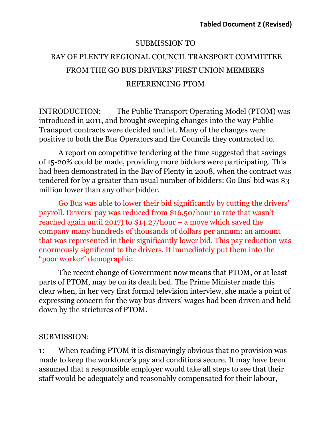## SUBMISSION TO

## BAY OF PLENTY REGIONAL COUNCIL TRANSPORT COMMITTEE FROM THE GO BUS DRIVERS' FIRST UNION MEMBERS REFERENCING PTOM

INTRODUCTION: The Public Transport Operating Model (PTOM) was introduced in 2011, and brought sweeping changes into the way Public Transport contracts were decided and let. Many of the changes were positive to both the Bus Operators and the Councils they contracted to.

A report on competitive tendering at the time suggested that savings of 15-20% could be made, providing more bidders were participating. This had been demonstrated in the Bay of Plenty in 2008, when the contract was tendered for by a greater than usual number of bidders: Go Bus' bid was \$3 million lower than any other bidder.

Go Bus was able to lower their bid significantly by cutting the drivers' payroll. Drivers' pay was reduced from \$16.50/hour (a rate that wasn't reached again until 2017) to \$14.27/hour – a move which saved the company many hundreds of thousands of dollars per annum: an amount that was represented in their significantly lower bid. This pay reduction was enormously significant to the drivers. It immediately put them into the "poor worker" demographic.

The recent change of Government now means that PTOM, or at least parts of PTOM, may be on its death bed. The Prime Minister made this clear when, in her very first formal television interview, she made a point of expressing concern for the way bus drivers' wages had been driven and held down by the strictures of PTOM.

## SUBMISSION:

1: When reading PTOM it is dismayingly obvious that no provision was made to keep the workforce's pay and conditions secure. It may have been assumed that a responsible employer would take all steps to see that their staff would be adequately and reasonably compensated for their labour,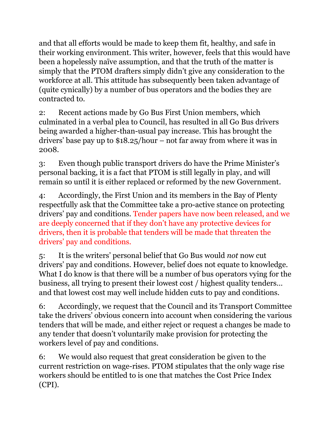and that all efforts would be made to keep them fit, healthy, and safe in their working environment. This writer, however, feels that this would have been a hopelessly naïve assumption, and that the truth of the matter is simply that the PTOM drafters simply didn't give any consideration to the workforce at all. This attitude has subsequently been taken advantage of (quite cynically) by a number of bus operators and the bodies they are contracted to.

2: Recent actions made by Go Bus First Union members, which culminated in a verbal plea to Council, has resulted in all Go Bus drivers being awarded a higher-than-usual pay increase. This has brought the drivers' base pay up to \$18.25/hour – not far away from where it was in 2008.

3: Even though public transport drivers do have the Prime Minister's personal backing, it is a fact that PTOM is still legally in play, and will remain so until it is either replaced or reformed by the new Government.

4: Accordingly, the First Union and its members in the Bay of Plenty respectfully ask that the Committee take a pro-active stance on protecting drivers' pay and conditions. Tender papers have now been released, and we are deeply concerned that if they don't have any protective devices for drivers, then it is probable that tenders will be made that threaten the drivers' pay and conditions.

5: It is the writers' personal belief that Go Bus would *not* now cut drivers' pay and conditions. However, belief does not equate to knowledge. What I do know is that there will be a number of bus operators vying for the business, all trying to present their lowest cost / highest quality tenders… and that lowest cost may well include hidden cuts to pay and conditions.

6: Accordingly, we request that the Council and its Transport Committee take the drivers' obvious concern into account when considering the various tenders that will be made, and either reject or request a changes be made to any tender that doesn't voluntarily make provision for protecting the workers level of pay and conditions.

6: We would also request that great consideration be given to the current restriction on wage-rises. PTOM stipulates that the only wage rise workers should be entitled to is one that matches the Cost Price Index (CPI).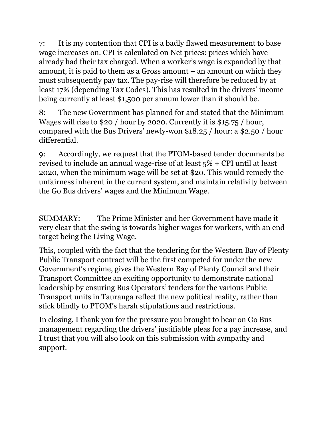7: It is my contention that CPI is a badly flawed measurement to base wage increases on. CPI is calculated on Net prices: prices which have already had their tax charged. When a worker's wage is expanded by that amount, it is paid to them as a Gross amount – an amount on which they must subsequently pay tax. The pay-rise will therefore be reduced by at least 17% (depending Tax Codes). This has resulted in the drivers' income being currently at least \$1,500 per annum lower than it should be.

8: The new Government has planned for and stated that the Minimum Wages will rise to \$20 / hour by 2020. Currently it is \$15.75 / hour, compared with the Bus Drivers' newly-won \$18.25 / hour: a \$2.50 / hour differential.

9: Accordingly, we request that the PTOM-based tender documents be revised to include an annual wage-rise of at least 5% + CPI until at least 2020, when the minimum wage will be set at \$20. This would remedy the unfairness inherent in the current system, and maintain relativity between the Go Bus drivers' wages and the Minimum Wage.

SUMMARY: The Prime Minister and her Government have made it very clear that the swing is towards higher wages for workers, with an endtarget being the Living Wage.

This, coupled with the fact that the tendering for the Western Bay of Plenty Public Transport contract will be the first competed for under the new Government's regime, gives the Western Bay of Plenty Council and their Transport Committee an exciting opportunity to demonstrate national leadership by ensuring Bus Operators' tenders for the various Public Transport units in Tauranga reflect the new political reality, rather than stick blindly to PTOM's harsh stipulations and restrictions.

In closing, I thank you for the pressure you brought to bear on Go Bus management regarding the drivers' justifiable pleas for a pay increase, and I trust that you will also look on this submission with sympathy and support.